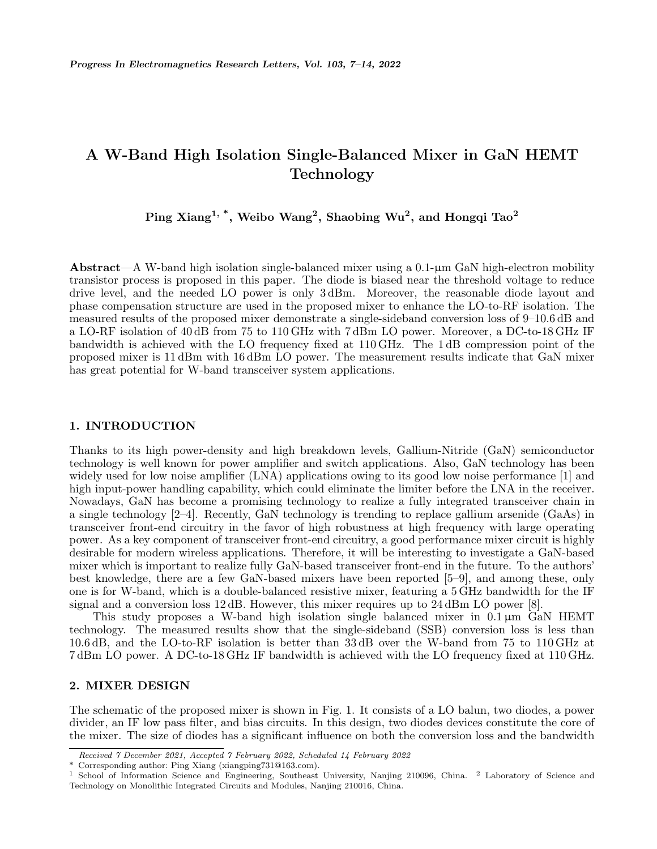# **A W-Band High Isolation Single-Balanced Mixer in GaN HEMT Technology**

**Ping Xiang1, \*, Weibo Wang<sup>2</sup> , Shaobing Wu<sup>2</sup> , and Hongqi Tao<sup>2</sup>**

**Abstract**—A W-band high isolation single-balanced mixer using a 0.1-µm GaN high-electron mobility transistor process is proposed in this paper. The diode is biased near the threshold voltage to reduce drive level, and the needed LO power is only 3 dBm. Moreover, the reasonable diode layout and phase compensation structure are used in the proposed mixer to enhance the LO-to-RF isolation. The measured results of the proposed mixer demonstrate a single-sideband conversion loss of 9–10.6 dB and a LO-RF isolation of 40 dB from 75 to 110 GHz with 7 dBm LO power. Moreover, a DC-to-18 GHz IF bandwidth is achieved with the LO frequency fixed at 110 GHz. The 1 dB compression point of the proposed mixer is 11 dBm with 16 dBm LO power. The measurement results indicate that GaN mixer has great potential for W-band transceiver system applications.

## **1. INTRODUCTION**

Thanks to its high power-density and high breakdown levels, Gallium-Nitride (GaN) semiconductor technology is well known for power amplifier and switch applications. Also, GaN technology has been widely used for low noise amplifier (LNA) applications owing to its good low noise performance [1] and high input-power handling capability, which could eliminate the limiter before the LNA in the receiver. Nowadays, GaN has become a promising technology to realize a fully integrated transceiver chain in a single technology [2–4]. Recently, GaN technology is trending to replace gallium arsenide (GaAs) in transceiver front-end circuitry in the favor of high robustness at high frequency with large operating power. As a key component of transceiver front-end circuitry, a good performance mixer circuit is highly desirable for modern wireless applications. Therefore, it will be interesting to investigate a GaN-based mixer which is important to realize fully GaN-based transceiver front-end in the future. To the authors' best knowledge, there are a few GaN-based mixers have been reported [5–9], and among these, only one is for W-band, which is a double-balanced resistive mixer, featuring a 5 GHz bandwidth for the IF signal and a conversion loss  $12 \text{ dB}$ . However, this mixer requires up to  $24 \text{ dBm}$  LO power [8].

This study proposes a W-band high isolation single balanced mixer in  $0.1 \,\mu m$  GaN HEMT technology. The measured results show that the single-sideband (SSB) conversion loss is less than 10.6 dB, and the LO-to-RF isolation is better than 33 dB over the W-band from 75 to 110 GHz at 7 dBm LO power. A DC-to-18 GHz IF bandwidth is achieved with the LO frequency fixed at 110 GHz.

#### **2. MIXER DESIGN**

The schematic of the proposed mixer is shown in Fig. 1. It consists of a LO balun, two diodes, a power divider, an IF low pass filter, and bias circuits. In this design, two diodes devices constitute the core of the mixer. The size of diodes has a significant influence on both the conversion loss and the bandwidth

*Received 7 December 2021, Accepted 7 February 2022, Scheduled 14 February 2022*

<sup>\*</sup> Corresponding author: Ping Xiang (xiangping731@163.com).

<sup>1</sup> School of Information Science and Engineering, Southeast University, Nanjing 210096, China. <sup>2</sup> Laboratory of Science and Technology on Monolithic Integrated Circuits and Modules, Nanjing 210016, China.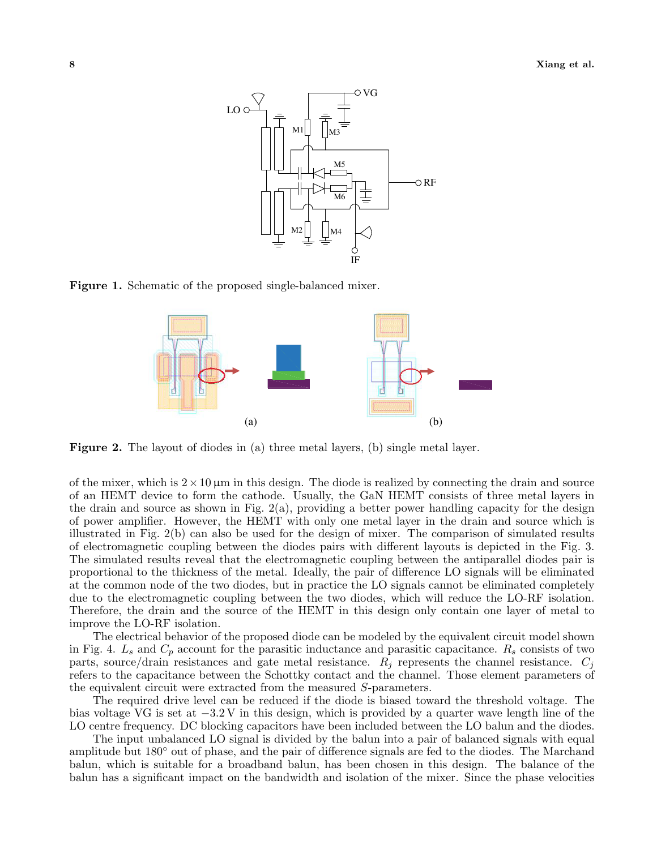

**Figure 1.** Schematic of the proposed single-balanced mixer.



**Figure 2.** The layout of diodes in (a) three metal layers, (b) single metal layer.

of the mixer, which is  $2 \times 10 \,\mu m$  in this design. The diode is realized by connecting the drain and source of an HEMT device to form the cathode. Usually, the GaN HEMT consists of three metal layers in the drain and source as shown in Fig.  $2(a)$ , providing a better power handling capacity for the design of power amplifier. However, the HEMT with only one metal layer in the drain and source which is illustrated in Fig. 2(b) can also be used for the design of mixer. The comparison of simulated results of electromagnetic coupling between the diodes pairs with different layouts is depicted in the Fig. 3. The simulated results reveal that the electromagnetic coupling between the antiparallel diodes pair is proportional to the thickness of the metal. Ideally, the pair of difference LO signals will be eliminated at the common node of the two diodes, but in practice the LO signals cannot be eliminated completely due to the electromagnetic coupling between the two diodes, which will reduce the LO-RF isolation. Therefore, the drain and the source of the HEMT in this design only contain one layer of metal to improve the LO-RF isolation.

The electrical behavior of the proposed diode can be modeled by the equivalent circuit model shown in Fig. 4. *L<sup>s</sup>* and *C<sup>p</sup>* account for the parasitic inductance and parasitic capacitance. *R<sup>s</sup>* consists of two parts, source/drain resistances and gate metal resistance. *R<sup>j</sup>* represents the channel resistance. *C<sup>j</sup>* refers to the capacitance between the Schottky contact and the channel. Those element parameters of the equivalent circuit were extracted from the measured *S*-parameters.

The required drive level can be reduced if the diode is biased toward the threshold voltage. The bias voltage VG is set at *−*3*.*2 V in this design, which is provided by a quarter wave length line of the LO centre frequency. DC blocking capacitors have been included between the LO balun and the diodes.

The input unbalanced LO signal is divided by the balun into a pair of balanced signals with equal amplitude but 180*◦* out of phase, and the pair of difference signals are fed to the diodes. The Marchand balun, which is suitable for a broadband balun, has been chosen in this design. The balance of the balun has a significant impact on the bandwidth and isolation of the mixer. Since the phase velocities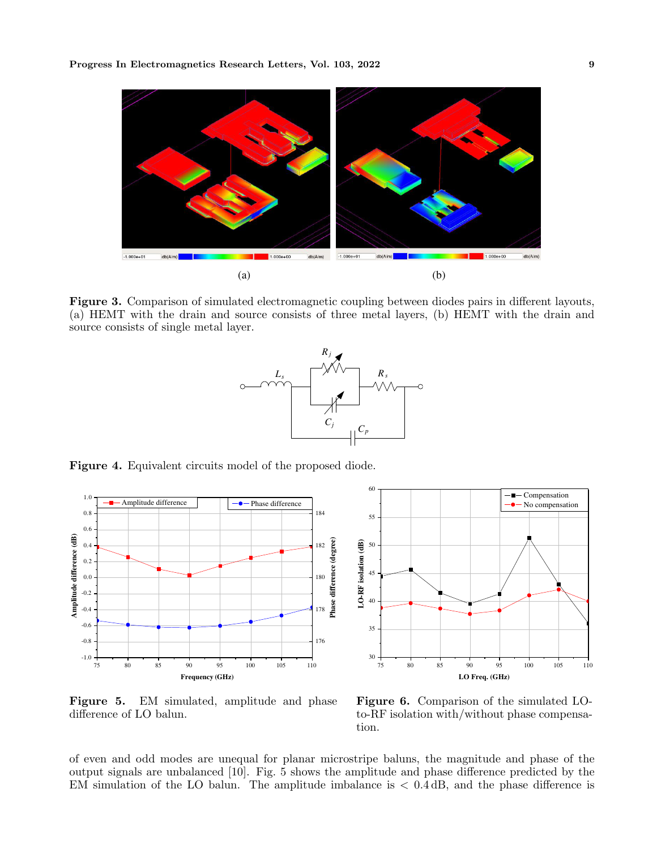

**Figure 3.** Comparison of simulated electromagnetic coupling between diodes pairs in different layouts, (a) HEMT with the drain and source consists of three metal layers, (b) HEMT with the drain and source consists of single metal layer.



**Figure 4.** Equivalent circuits model of the proposed diode.





**Figure 5.** EM simulated, amplitude and phase difference of LO balun.

**Figure 6.** Comparison of the simulated LOto-RF isolation with/without phase compensation.

of even and odd modes are unequal for planar microstripe baluns, the magnitude and phase of the output signals are unbalanced [10]. Fig. 5 shows the amplitude and phase difference predicted by the EM simulation of the LO balun. The amplitude imbalance is *<* 0*.*4 dB, and the phase difference is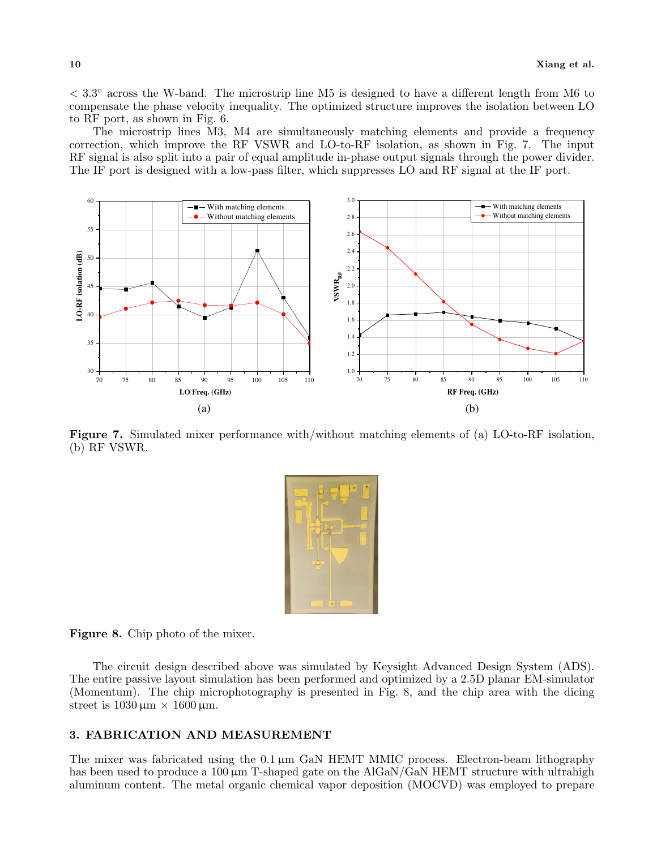*<* 3*.*3 *◦* across the W-band. The microstrip line M5 is designed to have a different length from M6 to compensate the phase velocity inequality. The optimized structure improves the isolation between LO to RF port, as shown in Fig. 6.

The microstrip lines M3, M4 are simultaneously matching elements and provide a frequency correction, which improve the RF VSWR and LO-to-RF isolation, as shown in Fig. 7. The input RF signal is also split into a pair of equal amplitude in-phase output signals through the power divider. The IF port is designed with a low-pass filter, which suppresses LO and RF signal at the IF port.



**Figure 7.** Simulated mixer performance with/without matching elements of (a) LO-to-RF isolation, (b) RF VSWR.



**Figure 8.** Chip photo of the mixer.

The circuit design described above was simulated by Keysight Advanced Design System (ADS). The entire passive layout simulation has been performed and optimized by a 2.5D planar EM-simulator (Momentum). The chip microphotography is presented in Fig. 8, and the chip area with the dicing street is  $1030 \text{ µm} \times 1600 \text{ µm}$ .

## **3. FABRICATION AND MEASUREMENT**

The mixer was fabricated using the 0.1  $\mu$ m GaN HEMT MMIC process. Electron-beam lithography has been used to produce a 100  $\mu$ m T-shaped gate on the AlGaN/GaN HEMT structure with ultrahigh aluminum content. The metal organic chemical vapor deposition (MOCVD) was employed to prepare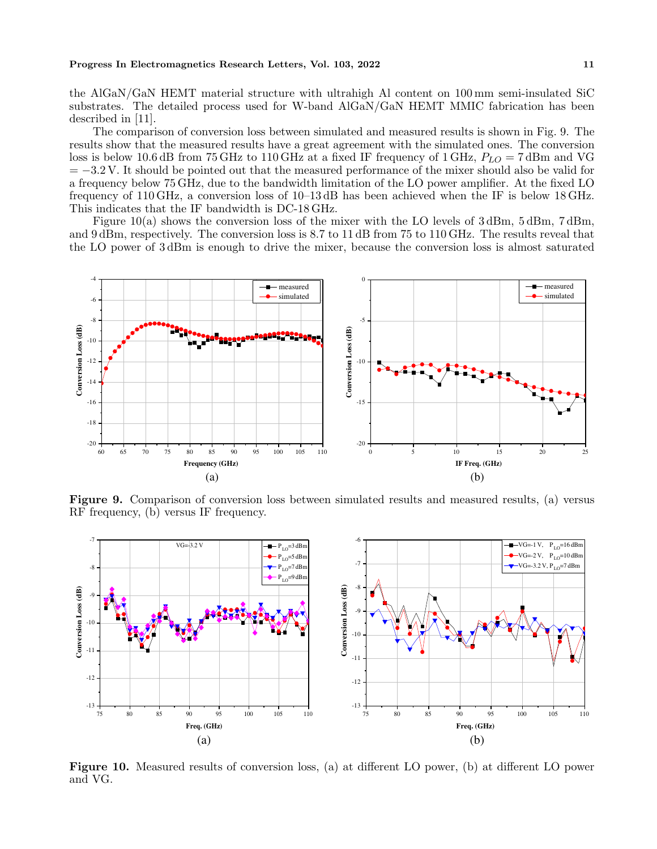the AlGaN/GaN HEMT material structure with ultrahigh Al content on 100 mm semi-insulated SiC substrates. The detailed process used for W-band AlGaN/GaN HEMT MMIC fabrication has been described in [11].

The comparison of conversion loss between simulated and measured results is shown in Fig. 9. The results show that the measured results have a great agreement with the simulated ones. The conversion loss is below 10.6 dB from 75 GHz to 110 GHz at a fixed IF frequency of 1 GHz, *PLO* = 7 dBm and VG = *−*3*.*2 V. It should be pointed out that the measured performance of the mixer should also be valid for a frequency below 75 GHz, due to the bandwidth limitation of the LO power amplifier. At the fixed LO frequency of 110 GHz, a conversion loss of 10–13 dB has been achieved when the IF is below 18 GHz. This indicates that the IF bandwidth is DC-18 GHz.

Figure 10(a) shows the conversion loss of the mixer with the LO levels of 3 dBm, 5 dBm, 7 dBm, and 9 dBm, respectively. The conversion loss is 8.7 to 11 dB from 75 to 110 GHz. The results reveal that the LO power of 3 dBm is enough to drive the mixer, because the conversion loss is almost saturated



**Figure 9.** Comparison of conversion loss between simulated results and measured results, (a) versus RF frequency, (b) versus IF frequency.



**Figure 10.** Measured results of conversion loss, (a) at different LO power, (b) at different LO power and VG.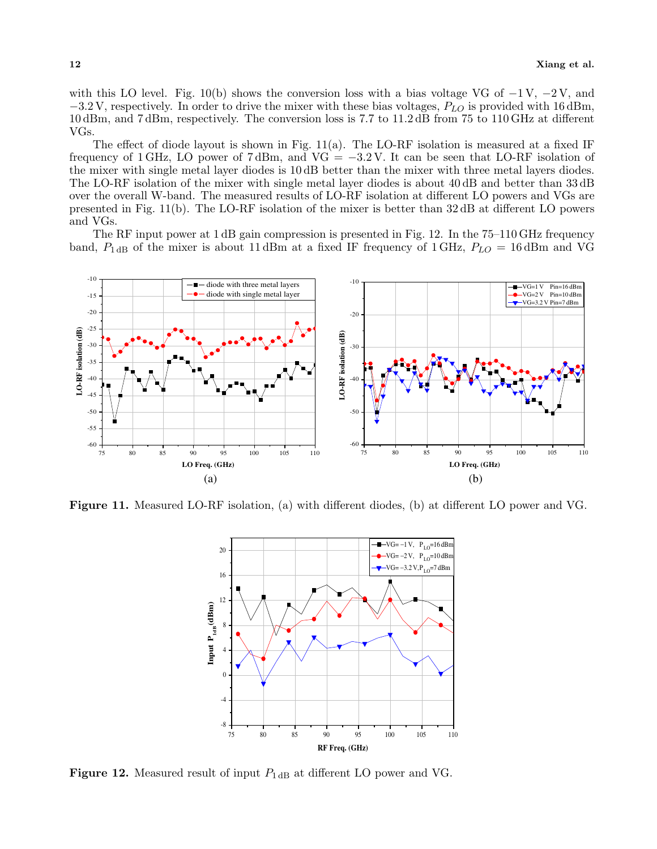with this LO level. Fig. 10(b) shows the conversion loss with a bias voltage VG of *−*1 V, *−*2 V, and *−*3*.*2 V, respectively. In order to drive the mixer with these bias voltages, *PLO* is provided with 16 dBm, 10 dBm, and 7 dBm, respectively. The conversion loss is 7.7 to 11.2 dB from 75 to 110 GHz at different VGs.

The effect of diode layout is shown in Fig.  $11(a)$ . The LO-RF isolation is measured at a fixed IF frequency of 1 GHz, LO power of 7 dBm, and VG = *−*3*.*2 V. It can be seen that LO-RF isolation of the mixer with single metal layer diodes is 10 dB better than the mixer with three metal layers diodes. The LO-RF isolation of the mixer with single metal layer diodes is about 40 dB and better than 33 dB over the overall W-band. The measured results of LO-RF isolation at different LO powers and VGs are presented in Fig. 11(b). The LO-RF isolation of the mixer is better than 32 dB at different LO powers and VGs.

The RF input power at 1 dB gain compression is presented in Fig. 12. In the 75–110 GHz frequency band,  $P_{1 \text{dB}}$  of the mixer is about 11 dBm at a fixed IF frequency of 1 GHz,  $P_{LO} = 16$  dBm and VG



**Figure 11.** Measured LO-RF isolation, (a) with different diodes, (b) at different LO power and VG.



**Figure 12.** Measured result of input  $P_{1 \text{ dB}}$  at different LO power and VG.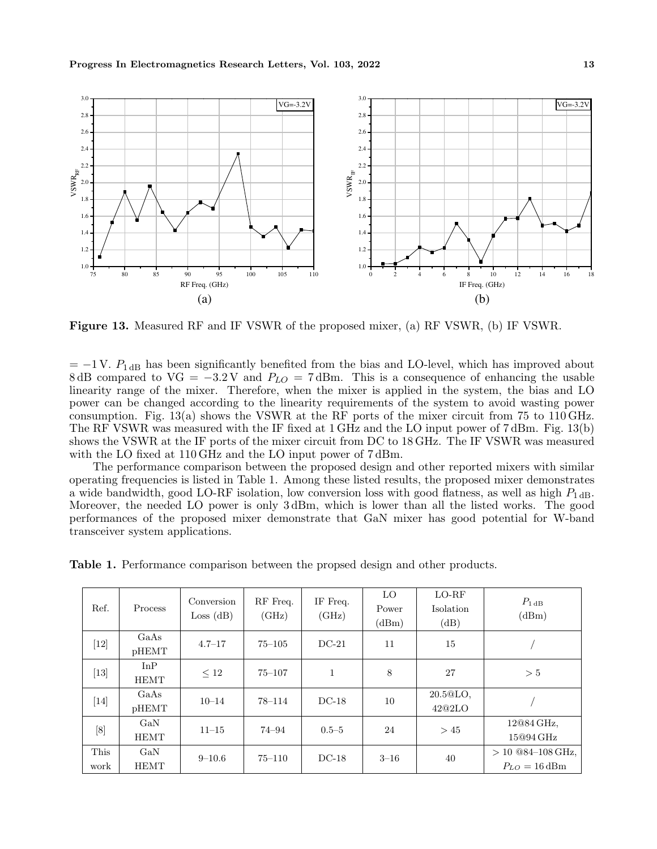

**Figure 13.** Measured RF and IF VSWR of the proposed mixer, (a) RF VSWR, (b) IF VSWR.

= *−*1 V. *P*1 dB has been significantly benefited from the bias and LO-level, which has improved about 8 dB compared to VG = *−*3*.*2 V and *PLO* = 7 dBm. This is a consequence of enhancing the usable linearity range of the mixer. Therefore, when the mixer is applied in the system, the bias and LO power can be changed according to the linearity requirements of the system to avoid wasting power consumption. Fig. 13(a) shows the VSWR at the RF ports of the mixer circuit from 75 to 110 GHz. The RF VSWR was measured with the IF fixed at 1 GHz and the LO input power of 7 dBm. Fig. 13(b) shows the VSWR at the IF ports of the mixer circuit from DC to 18 GHz. The IF VSWR was measured with the LO fixed at 110 GHz and the LO input power of 7 dBm.

The performance comparison between the proposed design and other reported mixers with similar operating frequencies is listed in Table 1. Among these listed results, the proposed mixer demonstrates a wide bandwidth, good LO-RF isolation, low conversion loss with good flatness, as well as high  $P_{1\text{dB}}$ . Moreover, the needed LO power is only 3 dBm, which is lower than all the listed works. The good performances of the proposed mixer demonstrate that GaN mixer has good potential for W-band transceiver system applications.

| Table 1. Performance comparison between the propsed design and other products. |  |
|--------------------------------------------------------------------------------|--|
|--------------------------------------------------------------------------------|--|

| Ref.         | Process            | Conversion<br>Loss (dB) | RF Freq.<br>(GHz) | IF Freq.<br>(GHz) | LO.<br>Power<br>(dBm) | $LO-RF$<br>Isolation<br>(dB)    | $P_{1\,\text{dB}}$<br>(dBm)                      |
|--------------|--------------------|-------------------------|-------------------|-------------------|-----------------------|---------------------------------|--------------------------------------------------|
| $[12]$       | GaAs<br>pHEMT      | $4.7 - 17$              | $75 - 105$        | $DC-21$           | 11                    | 15                              |                                                  |
| $[13]$       | InP<br><b>HEMT</b> | $\leq 12$               | $75 - 107$        | 1                 | 8                     | 27                              | > 5                                              |
| $[14]$       | GaAs<br>pHEMT      | $10 - 14$               | $78 - 114$        | $DC-18$           | 10                    | 20.5 <sup>oLO</sup> .<br>42@2LO |                                                  |
| [8]          | GaN<br><b>HEMT</b> | $11 - 15$               | 74–94             | $0.5 - 5$         | 24                    | >45                             | 12@84 GHz,<br>15@94 GHz                          |
| This<br>work | GaN<br><b>HEMT</b> | $9 - 10.6$              | $75 - 110$        | $DC-18$           | $3 - 16$              | 40                              | $> 10$ @84-108 GHz,<br>$P_{LO} = 16 \text{ dBm}$ |